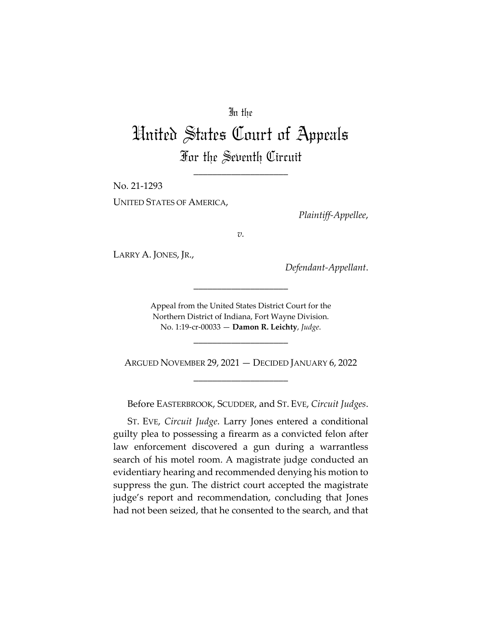## In the

# United States Court of Appeals For the Seventh Circuit

\_\_\_\_\_\_\_\_\_\_\_\_\_\_\_\_\_\_\_\_

No. 21‐1293 UNITED STATES OF AMERICA,

*Plaintiff‐Appellee*,

*v.*

LARRY A. JONES, JR.,

*Defendant‐Appellant*.

Appeal from the United States District Court for the Northern District of Indiana, Fort Wayne Division. No. 1:19‐cr‐00033 — **Damon R. Leichty**, *Judge*.

\_\_\_\_\_\_\_\_\_\_\_\_\_\_\_\_\_\_\_\_

ARGUED NOVEMBER 29, 2021 — DECIDED JANUARY 6, 2022 \_\_\_\_\_\_\_\_\_\_\_\_\_\_\_\_\_\_\_\_

\_\_\_\_\_\_\_\_\_\_\_\_\_\_\_\_\_\_\_\_

Before EASTERBROOK, SCUDDER, and ST. EVE, *Circuit Judges*.

ST. EVE, *Circuit Judge*. Larry Jones entered a conditional guilty plea to possessing a firearm as a convicted felon after law enforcement discovered a gun during a warrantless search of his motel room. A magistrate judge conducted an evidentiary hearing and recommended denying his motion to suppress the gun. The district court accepted the magistrate judge's report and recommendation, concluding that Jones had not been seized, that he consented to the search, and that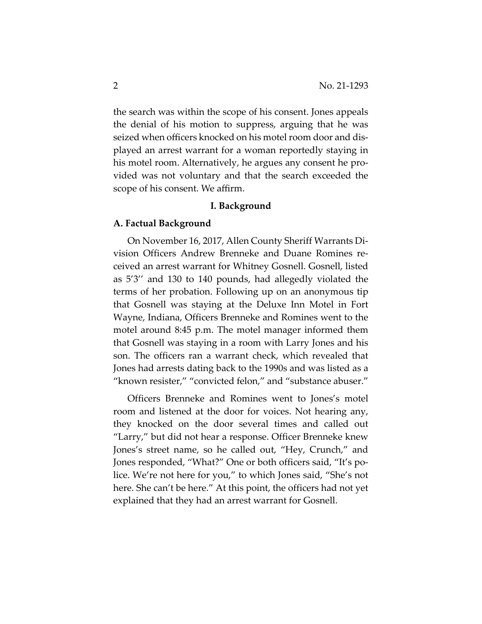the search was within the scope of his consent. Jones appeals the denial of his motion to suppress, arguing that he was seized when officers knocked on his motel room door and dis‐ played an arrest warrant for a woman reportedly staying in his motel room. Alternatively, he argues any consent he provided was not voluntary and that the search exceeded the scope of his consent. We affirm.

#### **I. Background**

#### **A. Factual Background**

On November 16, 2017, Allen County Sheriff Warrants Di‐ vision Officers Andrew Brenneke and Duane Romines re‐ ceived an arrest warrant for Whitney Gosnell. Gosnell, listed as 5'3'' and 130 to 140 pounds, had allegedly violated the terms of her probation. Following up on an anonymous tip that Gosnell was staying at the Deluxe Inn Motel in Fort Wayne, Indiana, Officers Brenneke and Romines went to the motel around 8:45 p.m. The motel manager informed them that Gosnell was staying in a room with Larry Jones and his son. The officers ran a warrant check, which revealed that Jones had arrests dating back to the 1990s and was listed as a "known resister," "convicted felon," and "substance abuser."

Officers Brenneke and Romines went to Jones's motel room and listened at the door for voices. Not hearing any, they knocked on the door several times and called out "Larry," but did not hear a response. Officer Brenneke knew Jones's street name, so he called out, "Hey, Crunch," and Jones responded, "What?" One or both officers said, "It's po‐ lice. We're not here for you," to which Jones said, "She's not here. She can't be here." At this point, the officers had not yet explained that they had an arrest warrant for Gosnell.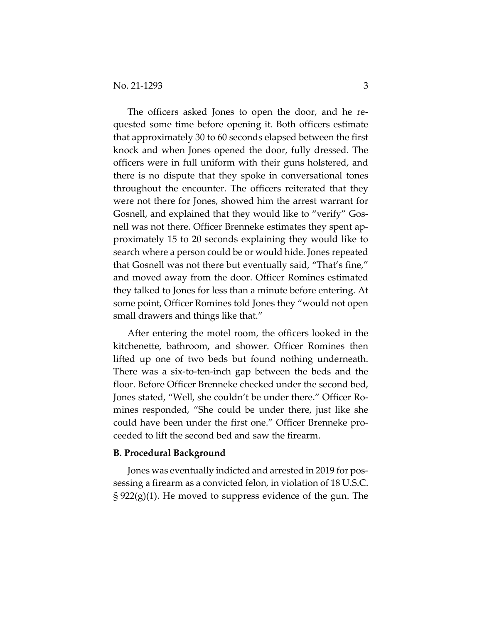The officers asked Jones to open the door, and he requested some time before opening it. Both officers estimate that approximately 30 to 60 seconds elapsed between the first knock and when Jones opened the door, fully dressed. The officers were in full uniform with their guns holstered, and there is no dispute that they spoke in conversational tones throughout the encounter. The officers reiterated that they were not there for Jones, showed him the arrest warrant for Gosnell, and explained that they would like to "verify" Gos‐ nell was not there. Officer Brenneke estimates they spent approximately 15 to 20 seconds explaining they would like to search where a person could be or would hide. Jones repeated that Gosnell was not there but eventually said, "That's fine," and moved away from the door. Officer Romines estimated they talked to Jones for less than a minute before entering. At some point, Officer Romines told Jones they "would not open small drawers and things like that."

After entering the motel room, the officers looked in the kitchenette, bathroom, and shower. Officer Romines then lifted up one of two beds but found nothing underneath. There was a six-to-ten-inch gap between the beds and the floor. Before Officer Brenneke checked under the second bed, Jones stated, "Well, she couldn't be under there." Officer Ro‐ mines responded, "She could be under there, just like she could have been under the first one." Officer Brenneke pro‐ ceeded to lift the second bed and saw the firearm.

#### **B. Procedural Background**

Jones was eventually indicted and arrested in 2019 for pos‐ sessing a firearm as a convicted felon, in violation of 18 U.S.C. § 922(g)(1). He moved to suppress evidence of the gun. The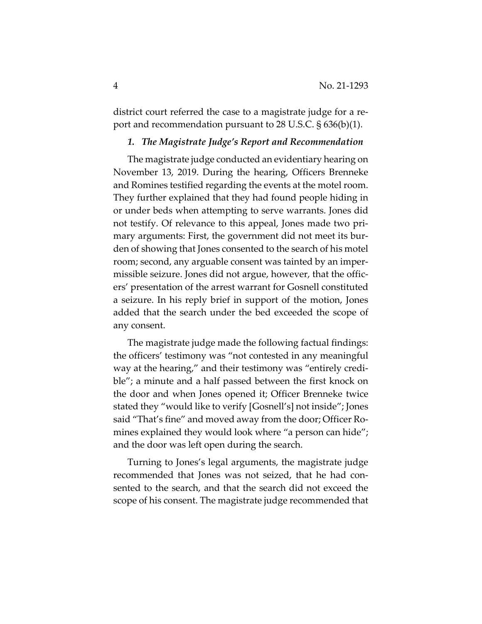district court referred the case to a magistrate judge for a report and recommendation pursuant to 28 U.S.C. § 636(b)(1).

## *1. The Magistrate Judge's Report and Recommendation*

The magistrate judge conducted an evidentiary hearing on November 13, 2019. During the hearing, Officers Brenneke and Romines testified regarding the events at the motel room. They further explained that they had found people hiding in or under beds when attempting to serve warrants. Jones did not testify. Of relevance to this appeal, Jones made two pri‐ mary arguments: First, the government did not meet its bur‐ den of showing that Jones consented to the search of his motel room; second, any arguable consent was tainted by an imper‐ missible seizure. Jones did not argue, however, that the offic‐ ers' presentation of the arrest warrant for Gosnell constituted a seizure. In his reply brief in support of the motion, Jones added that the search under the bed exceeded the scope of any consent.

The magistrate judge made the following factual findings: the officers' testimony was "not contested in any meaningful way at the hearing," and their testimony was "entirely credible"; a minute and a half passed between the first knock on the door and when Jones opened it; Officer Brenneke twice stated they "would like to verify [Gosnell's] not inside"; Jones said "That's fine" and moved away from the door; Officer Romines explained they would look where "a person can hide"; and the door was left open during the search.

Turning to Jones's legal arguments, the magistrate judge recommended that Jones was not seized, that he had con‐ sented to the search, and that the search did not exceed the scope of his consent. The magistrate judge recommended that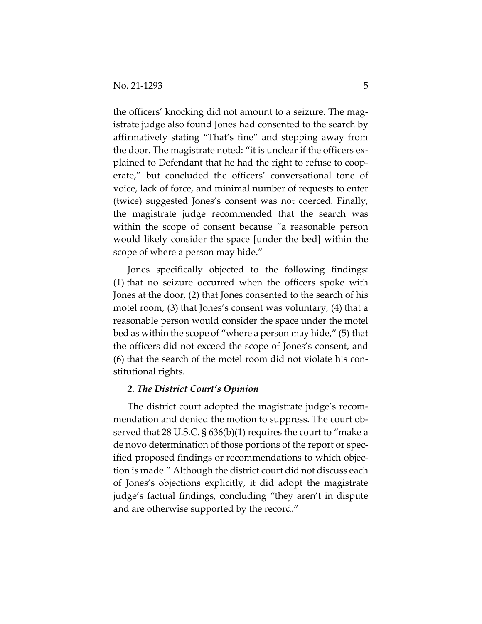the officers' knocking did not amount to a seizure. The mag‐ istrate judge also found Jones had consented to the search by affirmatively stating "That's fine" and stepping away from the door. The magistrate noted: "it is unclear if the officers ex‐ plained to Defendant that he had the right to refuse to coop‐ erate," but concluded the officers' conversational tone of voice, lack of force, and minimal number of requests to enter (twice) suggested Jones's consent was not coerced. Finally, the magistrate judge recommended that the search was within the scope of consent because "a reasonable person would likely consider the space [under the bed] within the scope of where a person may hide."

Jones specifically objected to the following findings: (1) that no seizure occurred when the officers spoke with Jones at the door, (2) that Jones consented to the search of his motel room, (3) that Jones's consent was voluntary, (4) that a reasonable person would consider the space under the motel bed as within the scope of "where a person may hide," (5) that the officers did not exceed the scope of Jones's consent, and (6) that the search of the motel room did not violate his con‐ stitutional rights.

## *2. The District Court's Opinion*

The district court adopted the magistrate judge's recom‐ mendation and denied the motion to suppress. The court observed that 28 U.S.C. § 636(b)(1) requires the court to "make a de novo determination of those portions of the report or spec‐ ified proposed findings or recommendations to which objec‐ tion is made." Although the district court did not discuss each of Jones's objections explicitly, it did adopt the magistrate judge's factual findings, concluding "they aren't in dispute and are otherwise supported by the record."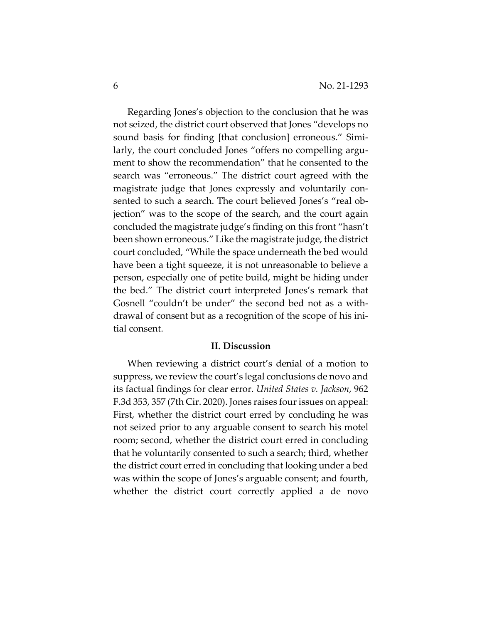Regarding Jones's objection to the conclusion that he was not seized, the district court observed that Jones "develops no sound basis for finding [that conclusion] erroneous." Similarly, the court concluded Jones "offers no compelling argument to show the recommendation" that he consented to the search was "erroneous." The district court agreed with the magistrate judge that Jones expressly and voluntarily con‐ sented to such a search. The court believed Jones's "real ob‐ jection" was to the scope of the search, and the court again concluded the magistrate judge's finding on this front "hasn't been shown erroneous." Like the magistrate judge, the district court concluded, "While the space underneath the bed would have been a tight squeeze, it is not unreasonable to believe a person, especially one of petite build, might be hiding under the bed." The district court interpreted Jones's remark that Gosnell "couldn't be under" the second bed not as a with‐ drawal of consent but as a recognition of the scope of his ini‐ tial consent.

#### **II. Discussion**

When reviewing a district court's denial of a motion to suppress, we review the court's legal conclusions de novo and its factual findings for clear error. *United States v. Jackson*, 962 F.3d 353, 357 (7th Cir. 2020). Jones raises four issues on appeal: First, whether the district court erred by concluding he was not seized prior to any arguable consent to search his motel room; second, whether the district court erred in concluding that he voluntarily consented to such a search; third, whether the district court erred in concluding that looking under a bed was within the scope of Jones's arguable consent; and fourth, whether the district court correctly applied a de novo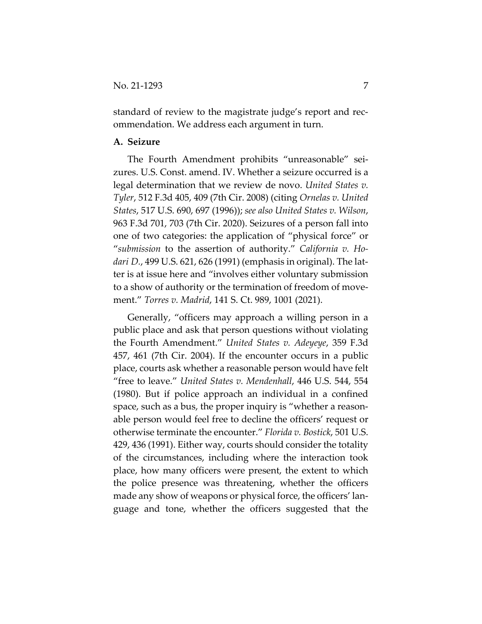standard of review to the magistrate judge's report and rec‐ ommendation. We address each argument in turn.

## **A. Seizure**

The Fourth Amendment prohibits "unreasonable" sei‐ zures. U.S. Const. amend. IV. Whether a seizure occurred is a legal determination that we review de novo. *United States v. Tyler*, 512 F.3d 405, 409 (7th Cir. 2008) (citing *Ornelas v. United States*, 517 U.S. 690, 697 (1996)); *see also United States v. Wilson*, 963 F.3d 701, 703 (7th Cir. 2020). Seizures of a person fall into one of two categories: the application of "physical force" or "*submission* to the assertion of authority." *California v. Ho‐ dari D.*, 499 U.S. 621, 626 (1991) (emphasis in original). The lat‐ ter is at issue here and "involves either voluntary submission to a show of authority or the termination of freedom of move‐ ment." *Torres v. Madrid*, 141 S. Ct. 989, 1001 (2021).

Generally, "officers may approach a willing person in a public place and ask that person questions without violating the Fourth Amendment." *United States v. Adeyeye*, 359 F.3d 457, 461 (7th Cir. 2004). If the encounter occurs in a public place, courts ask whether a reasonable person would have felt "free to leave." *United States v. Mendenhall*, 446 U.S. 544, 554 (1980). But if police approach an individual in a confined space, such as a bus, the proper inquiry is "whether a reasonable person would feel free to decline the officers' request or otherwise terminate the encounter." *Florida v. Bostick*, 501 U.S. 429, 436 (1991). Either way, courts should consider the totality of the circumstances, including where the interaction took place, how many officers were present, the extent to which the police presence was threatening, whether the officers made any show of weapons or physical force, the officers' language and tone, whether the officers suggested that the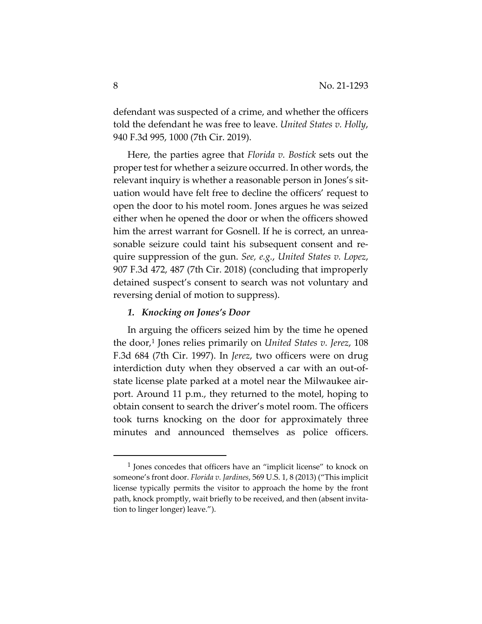defendant was suspected of a crime, and whether the officers told the defendant he was free to leave. *United States v. Holly*, 940 F.3d 995, 1000 (7th Cir. 2019).

Here, the parties agree that *Florida v. Bostick* sets out the proper test for whether a seizure occurred. In other words, the relevant inquiry is whether a reasonable person in Jones's sit‐ uation would have felt free to decline the officers' request to open the door to his motel room. Jones argues he was seized either when he opened the door or when the officers showed him the arrest warrant for Gosnell. If he is correct, an unreasonable seizure could taint his subsequent consent and require suppression of the gun. *See, e.g.*, *United States v. Lopez*, 907 F.3d 472, 487 (7th Cir. 2018) (concluding that improperly detained suspect's consent to search was not voluntary and reversing denial of motion to suppress).

## *1. Knocking on Jones's Door*

In arguing the officers seized him by the time he opened the door,1 Jones relies primarily on *United States v. Jerez*, 108 F.3d 684 (7th Cir. 1997). In *Jerez*, two officers were on drug interdiction duty when they observed a car with an out‐of‐ state license plate parked at a motel near the Milwaukee air‐ port. Around 11 p.m., they returned to the motel, hoping to obtain consent to search the driver's motel room. The officers took turns knocking on the door for approximately three minutes and announced themselves as police officers.

<sup>1</sup> Jones concedes that officers have an "implicit license" to knock on someone's front door. *Florida v. Jardines*, 569 U.S. 1, 8 (2013) ("This implicit license typically permits the visitor to approach the home by the front path, knock promptly, wait briefly to be received, and then (absent invitation to linger longer) leave.").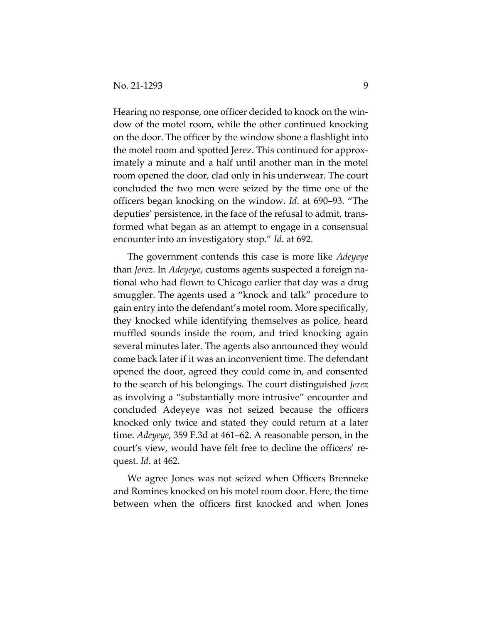Hearing no response, one officer decided to knock on the win‐ dow of the motel room, while the other continued knocking on the door. The officer by the window shone a flashlight into the motel room and spotted Jerez. This continued for approx‐ imately a minute and a half until another man in the motel room opened the door, clad only in his underwear. The court concluded the two men were seized by the time one of the officers began knocking on the window. *Id*. at 690–93. "The deputies' persistence, in the face of the refusal to admit, trans‐ formed what began as an attempt to engage in a consensual encounter into an investigatory stop." *Id*. at 692.

The government contends this case is more like *Adeyeye* than *Jerez*. In *Adeyeye*, customs agents suspected a foreign na‐ tional who had flown to Chicago earlier that day was a drug smuggler. The agents used a "knock and talk" procedure to gain entry into the defendant's motel room. More specifically, they knocked while identifying themselves as police, heard muffled sounds inside the room, and tried knocking again several minutes later. The agents also announced they would come back later if it was an inconvenient time. The defendant opened the door, agreed they could come in, and consented to the search of his belongings. The court distinguished *Jerez* as involving a "substantially more intrusive" encounter and concluded Adeyeye was not seized because the officers knocked only twice and stated they could return at a later time. *Adeyeye*, 359 F.3d at 461–62. A reasonable person, in the court's view, would have felt free to decline the officers' re‐ quest. *Id*. at 462.

We agree Jones was not seized when Officers Brenneke and Romines knocked on his motel room door. Here, the time between when the officers first knocked and when Jones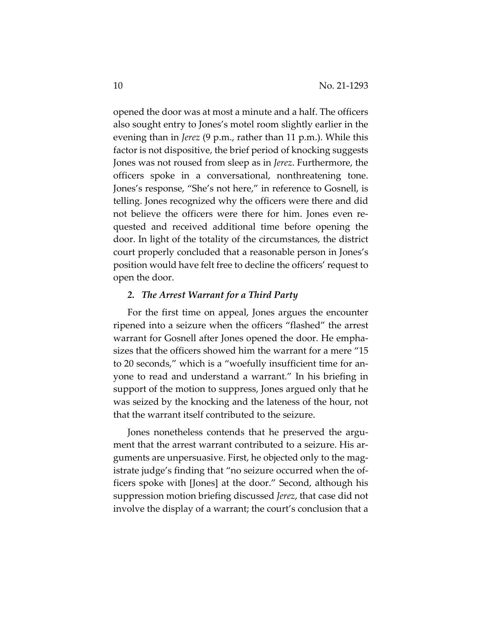opened the door was at most a minute and a half. The officers also sought entry to Jones's motel room slightly earlier in the evening than in *Jerez* (9 p.m., rather than 11 p.m.). While this factor is not dispositive, the brief period of knocking suggests Jones was not roused from sleep as in *Jerez*. Furthermore, the officers spoke in a conversational, nonthreatening tone. Jones's response, "She's not here," in reference to Gosnell, is telling. Jones recognized why the officers were there and did not believe the officers were there for him. Jones even re‐ quested and received additional time before opening the door. In light of the totality of the circumstances, the district court properly concluded that a reasonable person in Jones's position would have felt free to decline the officers' request to open the door.

#### *2. The Arrest Warrant for a Third Party*

For the first time on appeal, Jones argues the encounter ripened into a seizure when the officers "flashed" the arrest warrant for Gosnell after Jones opened the door. He empha‐ sizes that the officers showed him the warrant for a mere "15 to 20 seconds," which is a "woefully insufficient time for anyone to read and understand a warrant." In his briefing in support of the motion to suppress, Jones argued only that he was seized by the knocking and the lateness of the hour, not that the warrant itself contributed to the seizure.

Jones nonetheless contends that he preserved the argument that the arrest warrant contributed to a seizure. His arguments are unpersuasive. First, he objected only to the mag‐ istrate judge's finding that "no seizure occurred when the of‐ ficers spoke with [Jones] at the door." Second, although his suppression motion briefing discussed *Jerez*, that case did not involve the display of a warrant; the court's conclusion that a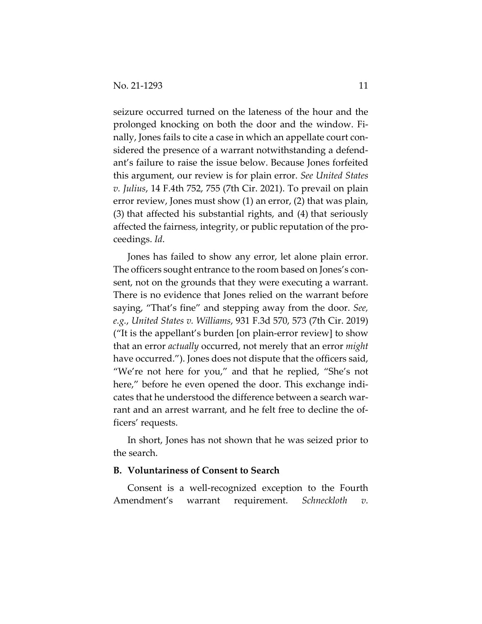seizure occurred turned on the lateness of the hour and the prolonged knocking on both the door and the window. Fi‐ nally, Jones fails to cite a case in which an appellate court con‐ sidered the presence of a warrant notwithstanding a defend‐ ant's failure to raise the issue below. Because Jones forfeited this argument, our review is for plain error. *See United States v. Julius*, 14 F.4th 752, 755 (7th Cir. 2021). To prevail on plain error review, Jones must show (1) an error, (2) that was plain, (3) that affected his substantial rights, and (4) that seriously affected the fairness, integrity, or public reputation of the pro‐ ceedings. *Id*.

Jones has failed to show any error, let alone plain error. The officers sought entrance to the room based on Jones's consent, not on the grounds that they were executing a warrant. There is no evidence that Jones relied on the warrant before saying, "That's fine" and stepping away from the door. *See, e.g.*, *United States v. Williams*, 931 F.3d 570, 573 (7th Cir. 2019) ("It is the appellant's burden [on plain‐error review] to show that an error *actually* occurred, not merely that an error *might* have occurred."). Jones does not dispute that the officers said, "We're not here for you," and that he replied, "She's not here," before he even opened the door. This exchange indicates that he understood the difference between a search war‐ rant and an arrest warrant, and he felt free to decline the officers' requests.

In short, Jones has not shown that he was seized prior to the search.

## **B. Voluntariness of Consent to Search**

Consent is a well‐recognized exception to the Fourth Amendment's warrant requirement. *Schneckloth v.*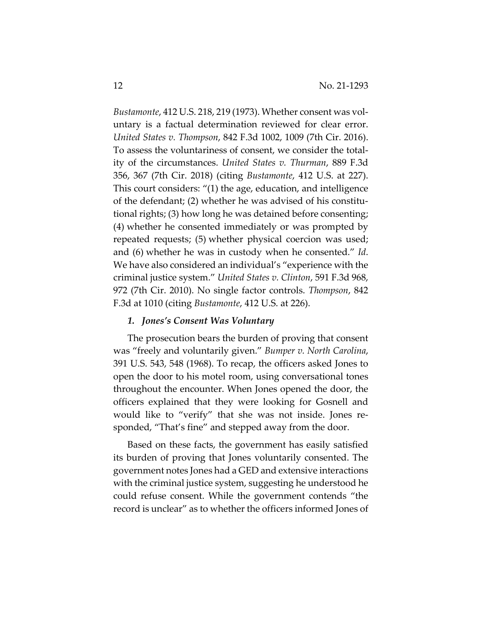*Bustamonte*, 412 U.S. 218, 219 (1973). Whether consent was vol‐ untary is a factual determination reviewed for clear error. *United States v. Thompson*, 842 F.3d 1002, 1009 (7th Cir. 2016). To assess the voluntariness of consent, we consider the total‐ ity of the circumstances. *United States v. Thurman*, 889 F.3d 356, 367 (7th Cir. 2018) (citing *Bustamonte*, 412 U.S. at 227). This court considers: "(1) the age, education, and intelligence of the defendant; (2) whether he was advised of his constitu‐ tional rights; (3) how long he was detained before consenting; (4) whether he consented immediately or was prompted by repeated requests; (5) whether physical coercion was used; and (6) whether he was in custody when he consented." *Id*. We have also considered an individual's "experience with the criminal justice system." *United States v. Clinton*, 591 F.3d 968, 972 (7th Cir. 2010). No single factor controls. *Thompson*, 842 F.3d at 1010 (citing *Bustamonte*, 412 U.S. at 226).

#### *1. Jones's Consent Was Voluntary*

The prosecution bears the burden of proving that consent was "freely and voluntarily given." *Bumper v. North Carolina*, 391 U.S. 543, 548 (1968). To recap, the officers asked Jones to open the door to his motel room, using conversational tones throughout the encounter. When Jones opened the door, the officers explained that they were looking for Gosnell and would like to "verify" that she was not inside. Jones re‐ sponded, "That's fine" and stepped away from the door.

Based on these facts, the government has easily satisfied its burden of proving that Jones voluntarily consented. The government notes Jones had a GED and extensive interactions with the criminal justice system, suggesting he understood he could refuse consent. While the government contends "the record is unclear" as to whether the officers informed Jones of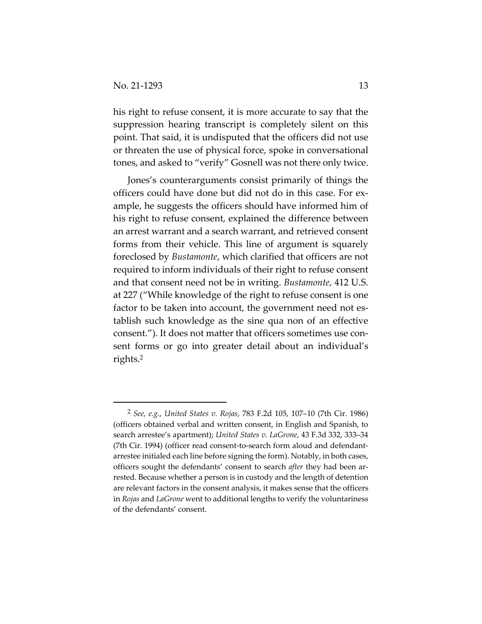his right to refuse consent, it is more accurate to say that the suppression hearing transcript is completely silent on this point. That said, it is undisputed that the officers did not use or threaten the use of physical force, spoke in conversational tones, and asked to "verify" Gosnell was not there only twice.

Jones's counterarguments consist primarily of things the officers could have done but did not do in this case. For ex‐ ample, he suggests the officers should have informed him of his right to refuse consent, explained the difference between an arrest warrant and a search warrant, and retrieved consent forms from their vehicle. This line of argument is squarely foreclosed by *Bustamonte*, which clarified that officers are not required to inform individuals of their right to refuse consent and that consent need not be in writing. *Bustamonte*, 412 U.S. at 227 ("While knowledge of the right to refuse consent is one factor to be taken into account, the government need not establish such knowledge as the sine qua non of an effective consent."). It does not matter that officers sometimes use consent forms or go into greater detail about an individual's rights.2

<sup>2</sup> *See, e.g.*, *United States v. Rojas*, 783 F.2d 105, 107–10 (7th Cir. 1986) (officers obtained verbal and written consent, in English and Spanish, to search arrestee's apartment); *United States v. LaGrone*, 43 F.3d 332, 333–34 (7th Cir. 1994) (officer read consent‐to‐search form aloud and defendant‐ arrestee initialed each line before signing the form). Notably, in both cases, officers sought the defendants' consent to search *after* they had been ar‐ rested. Because whether a person is in custody and the length of detention are relevant factors in the consent analysis, it makes sense that the officers in *Rojas* and *LaGrone* went to additional lengths to verify the voluntariness of the defendants' consent.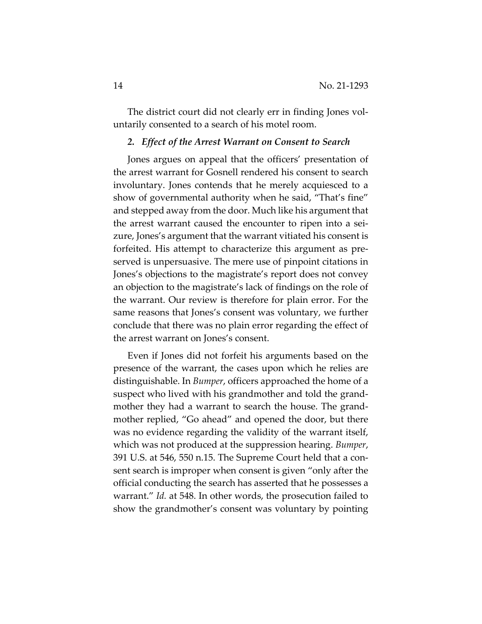The district court did not clearly err in finding Jones voluntarily consented to a search of his motel room.

## *2. Effect of the Arrest Warrant on Consent to Search*

Jones argues on appeal that the officers' presentation of the arrest warrant for Gosnell rendered his consent to search involuntary. Jones contends that he merely acquiesced to a show of governmental authority when he said, "That's fine" and stepped away from the door. Much like his argument that the arrest warrant caused the encounter to ripen into a sei‐ zure, Jones's argument that the warrant vitiated his consent is forfeited. His attempt to characterize this argument as pre‐ served is unpersuasive. The mere use of pinpoint citations in Jones's objections to the magistrate's report does not convey an objection to the magistrate's lack of findings on the role of the warrant. Our review is therefore for plain error. For the same reasons that Jones's consent was voluntary, we further conclude that there was no plain error regarding the effect of the arrest warrant on Jones's consent.

Even if Jones did not forfeit his arguments based on the presence of the warrant, the cases upon which he relies are distinguishable. In *Bumper*, officers approached the home of a suspect who lived with his grandmother and told the grand‐ mother they had a warrant to search the house. The grand‐ mother replied, "Go ahead" and opened the door, but there was no evidence regarding the validity of the warrant itself, which was not produced at the suppression hearing. *Bumper*, 391 U.S. at 546, 550 n.15. The Supreme Court held that a con‐ sent search is improper when consent is given "only after the official conducting the search has asserted that he possesses a warrant." *Id.* at 548. In other words, the prosecution failed to show the grandmother's consent was voluntary by pointing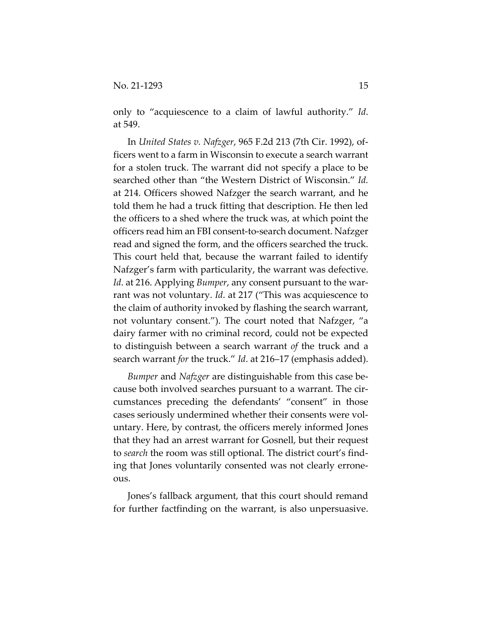only to "acquiescence to a claim of lawful authority." *Id*. at 549.

In *United States v. Nafzger*, 965 F.2d 213 (7th Cir. 1992), of‐ ficers went to a farm in Wisconsin to execute a search warrant for a stolen truck. The warrant did not specify a place to be searched other than "the Western District of Wisconsin." *Id.* at 214. Officers showed Nafzger the search warrant, and he told them he had a truck fitting that description. He then led the officers to a shed where the truck was, at which point the officers read him an FBI consent‐to‐search document. Nafzger read and signed the form, and the officers searched the truck. This court held that, because the warrant failed to identify Nafzger's farm with particularity, the warrant was defective. *Id.* at 216. Applying *Bumper*, any consent pursuant to the warrant was not voluntary. *Id*. at 217 ("This was acquiescence to the claim of authority invoked by flashing the search warrant, not voluntary consent."). The court noted that Nafzger, "a dairy farmer with no criminal record, could not be expected to distinguish between a search warrant *of* the truck and a search warrant *for* the truck." *Id*. at 216–17 (emphasis added).

*Bumper* and *Nafzger* are distinguishable from this case be‐ cause both involved searches pursuant to a warrant. The cir‐ cumstances preceding the defendants' "consent" in those cases seriously undermined whether their consents were vol‐ untary. Here, by contrast, the officers merely informed Jones that they had an arrest warrant for Gosnell, but their request to *search* the room was still optional. The district court's find‐ ing that Jones voluntarily consented was not clearly errone‐ ous.

Jones's fallback argument, that this court should remand for further factfinding on the warrant, is also unpersuasive.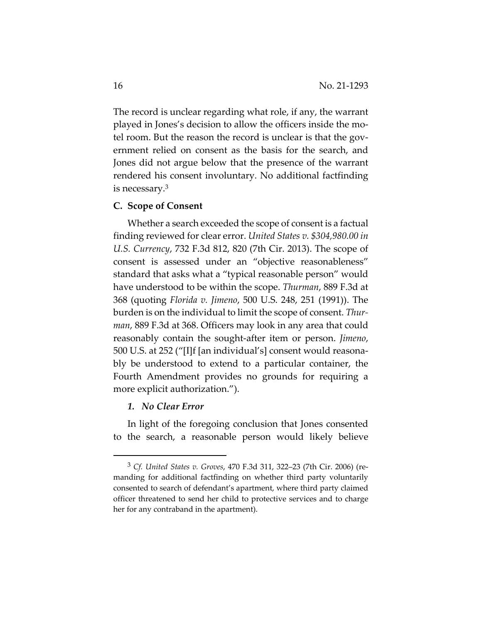The record is unclear regarding what role, if any, the warrant played in Jones's decision to allow the officers inside the mo‐ tel room. But the reason the record is unclear is that the gov‐ ernment relied on consent as the basis for the search, and Jones did not argue below that the presence of the warrant rendered his consent involuntary. No additional factfinding is necessary.3

#### **C. Scope of Consent**

Whether a search exceeded the scope of consent is a factual finding reviewed for clear error. *United States v. \$304,980.00 in U.S. Currency*, 732 F.3d 812, 820 (7th Cir. 2013). The scope of consent is assessed under an "objective reasonableness" standard that asks what a "typical reasonable person" would have understood to be within the scope. *Thurman*, 889 F.3d at 368 (quoting *Florida v. Jimeno*, 500 U.S. 248, 251 (1991)). The burden is on the individual to limit the scope of consent. *Thur‐ man*, 889 F.3d at 368. Officers may look in any area that could reasonably contain the sought‐after item or person. *Jimeno*, 500 U.S. at 252 ("[I]f [an individual's] consent would reasona‐ bly be understood to extend to a particular container, the Fourth Amendment provides no grounds for requiring a more explicit authorization.").

#### *1. No Clear Error*

In light of the foregoing conclusion that Jones consented to the search, a reasonable person would likely believe

<sup>3</sup> *Cf. United States v. Groves*, 470 F.3d 311, 322–23 (7th Cir. 2006) (re‐ manding for additional factfinding on whether third party voluntarily consented to search of defendant's apartment, where third party claimed officer threatened to send her child to protective services and to charge her for any contraband in the apartment).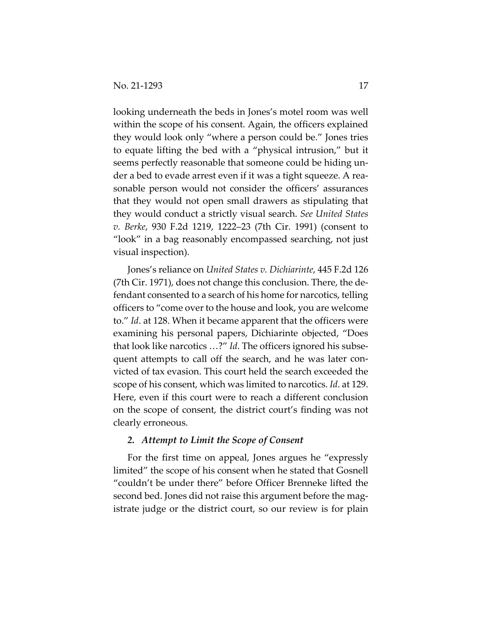looking underneath the beds in Jones's motel room was well within the scope of his consent. Again, the officers explained they would look only "where a person could be." Jones tries to equate lifting the bed with a "physical intrusion," but it seems perfectly reasonable that someone could be hiding un‐ der a bed to evade arrest even if it was a tight squeeze. A rea‐ sonable person would not consider the officers' assurances that they would not open small drawers as stipulating that they would conduct a strictly visual search. *See United States v. Berke*, 930 F.2d 1219, 1222–23 (7th Cir. 1991) (consent to "look" in a bag reasonably encompassed searching, not just visual inspection).

Jones's reliance on *United States v. Dichiarinte*, 445 F.2d 126 (7th Cir. 1971), does not change this conclusion. There, the de‐ fendant consented to a search of his home for narcotics, telling officers to "come over to the house and look, you are welcome to." *Id*. at 128. When it became apparent that the officers were examining his personal papers, Dichiarinte objected, "Does that look like narcotics …?" *Id*. The officers ignored his subse‐ quent attempts to call off the search, and he was later convicted of tax evasion. This court held the search exceeded the scope of his consent, which was limited to narcotics. *Id*. at 129. Here, even if this court were to reach a different conclusion on the scope of consent, the district court's finding was not clearly erroneous.

## *2. Attempt to Limit the Scope of Consent*

For the first time on appeal, Jones argues he "expressly limited" the scope of his consent when he stated that Gosnell "couldn't be under there" before Officer Brenneke lifted the second bed. Jones did not raise this argument before the magistrate judge or the district court, so our review is for plain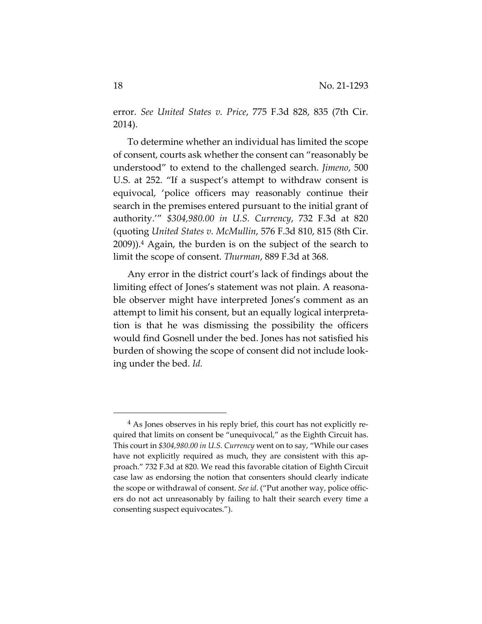error. *See United States v. Price*, 775 F.3d 828, 835 (7th Cir. 2014).

To determine whether an individual has limited the scope of consent, courts ask whether the consent can "reasonably be understood" to extend to the challenged search. *Jimeno*, 500 U.S. at 252. "If a suspect's attempt to withdraw consent is equivocal, 'police officers may reasonably continue their search in the premises entered pursuant to the initial grant of authority.'" *\$304,980.00 in U.S. Currency*, 732 F.3d at 820 (quoting *United States v. McMullin*, 576 F.3d 810, 815 (8th Cir. 2009)).4 Again, the burden is on the subject of the search to limit the scope of consent. *Thurman*, 889 F.3d at 368.

Any error in the district court's lack of findings about the limiting effect of Jones's statement was not plain. A reasona‐ ble observer might have interpreted Jones's comment as an attempt to limit his consent, but an equally logical interpreta‐ tion is that he was dismissing the possibility the officers would find Gosnell under the bed. Jones has not satisfied his burden of showing the scope of consent did not include look‐ ing under the bed. *Id.*

<sup>&</sup>lt;sup>4</sup> As Jones observes in his reply brief, this court has not explicitly required that limits on consent be "unequivocal," as the Eighth Circuit has. This court in *\$304,980.00 in U.S. Currency* went on to say, "While our cases have not explicitly required as much, they are consistent with this approach." 732 F.3d at 820. We read this favorable citation of Eighth Circuit case law as endorsing the notion that consenters should clearly indicate the scope or withdrawal of consent. *See id*. ("Put another way, police offic‐ ers do not act unreasonably by failing to halt their search every time a consenting suspect equivocates.").